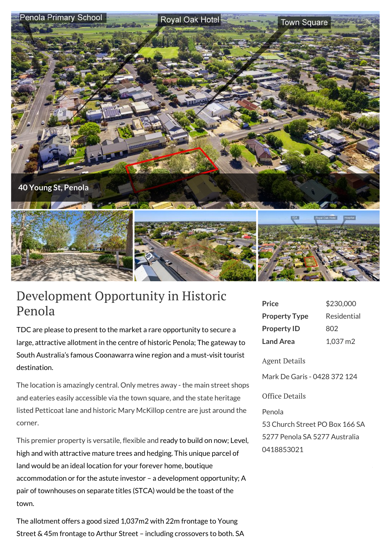

## Development Opportunity in Historic Penola

TDC are please to present to the market a rare opportunity to secure a large, attractive allotment in the centre of historic Penola; The gateway to South Australia's famous Coonawarra wine region and a must-visit tourist destination.

The location is amazingly central. Only metres away - the main street shops and eateries easily accessible via the town square, and the state heritage listed Petticoat lane and historic Mary McKillop centre are just around the corner.

This premier property is versatile, flexible and ready to build on now; Level, high and with attractive mature trees and hedging. This unique parcel of land would be an ideal location for your forever home, boutique accommodation or for the astute investor – a development opportunity; A pair of townhouses on separate titles (STCA) would be the toast of the town.

The allotment offers a good sized 1,037m2 with 22m frontage to Young Street & 45m frontage to Arthur Street – including crossovers to both. SA

| \$230,000   |
|-------------|
| Residential |
| 802         |
| 1,037 m2    |
|             |

## Agent Details

Mark De Garis - 0428 372 124

## Office Details

Penola 53 Church Street PO Box 166 SA 5277 Penola SA 5277 Australia 0418853021